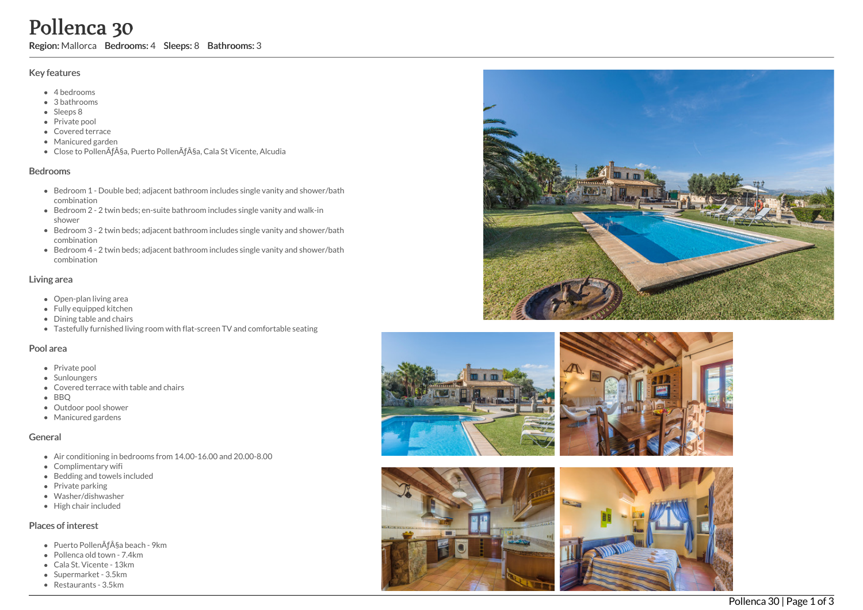# Pollenca 30

Region: Mallorca Bedrooms: 4 Sleeps: 8 Bathrooms: 3

### Key features

- 4 b e d r o o m s
- 3 b a t h r o o m s
- Sleeps 8
- Private pool
- Covered terrace
- Manicured garden
- Close to PollenÃça, Puerto PollenÃça, Cala St Vicente, Alcudia

#### **Bedrooms**

- Bedroom 1 Double bed; adjacent bathroom includes single vanity and shower/bath c o m bin a tio n
- Bedroom 2 2 twin beds; en-suite bathroom includes single vanity and walk-in s h o w e r
- Bedroom 3 2 twin beds; adjacent bathroom includes single vanity and shower/bath c o m bin a tio n
- Bedroom 4 2 twin beds; adjacent bathroom includes single vanity and shower/bath c o m bin a tio n

#### Living area

- Open-plan living area
- Fully equipped kitchen
- Dining table and chairs
- Tastefully furnished living room with flat-screen TV and comfortable seating

#### Pool area

- Private pool
- Sunloungers
- Covered terrace with table and chairs
- B B Q
- Outdoor pool shower
- Manicured gardens

# General

- Air conditioning in bedrooms from 14.00-16.00 and 20.00-8.00
- Complimentary wifi
- Bedding and towels included
- Private parking
- Washer/dishwasher
- High chair included

## Places of interest

- Puerto PollenÃça beach 9km
- Pollenca old town 7.4km
- Cala St. Vicente 13km
- Supermarket 3.5km
- Restaurants 3.5km









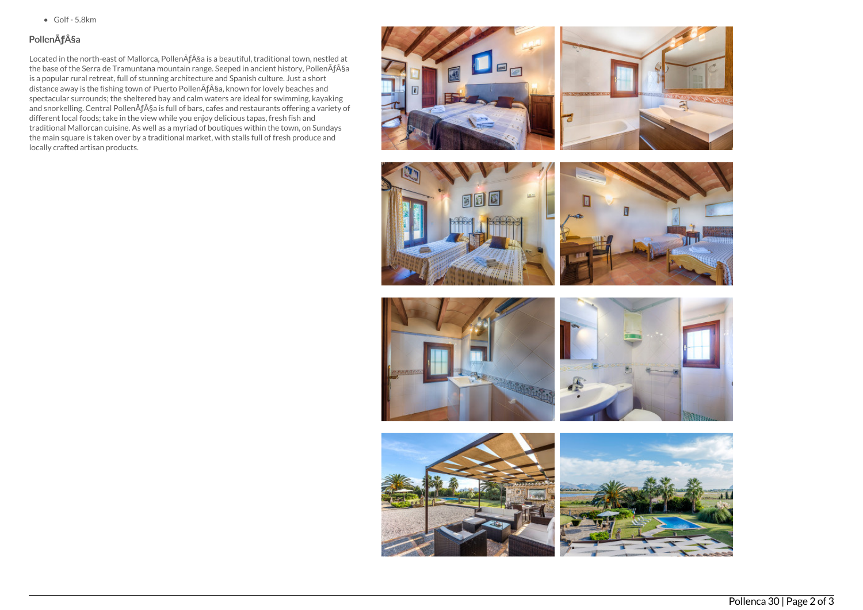$\bullet$  Golf - 5.8km

# PollenÃ**ƒ**§a

Located in the north-east of Mallorca, PollenÃf§a is a beautiful, traditional town, nestled at the base of the Serra de Tramuntana mountain range. Seeped in ancient history, PollenÃf§a is a popular rural retreat, full of stunning architecture and Spanish culture. Just a short distance away is the fishing town of Puerto PollenÃƒ§a, known for lovely beaches and spectacular surrounds; the sheltered bay and calm waters are ideal for swimming, kayaking and snorkelling. Central PollenÃf§a is full of bars, cafes and restaurants offering a variety of different local foods; take in the view while you enjoy delicious tapas, fresh fish and traditional Mallorcan cuisine. As well as a myriad of boutiques within the town, on Sundays the main square is taken over by a traditional market, with stalls full of fresh produce and locally crafted artisan products.